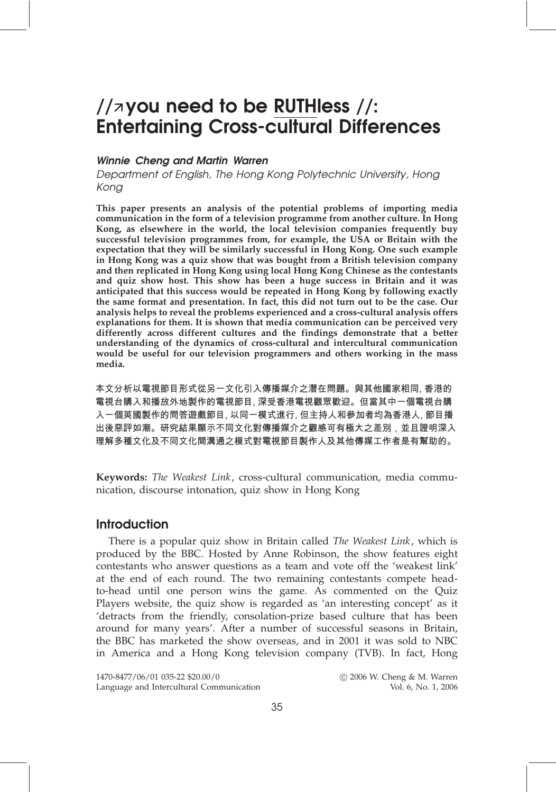# $1/2$  you need to be RUTHless  $1/2$ : Entertaining Cross-cultural Differences

#### Winnie Cheng and Martin Warren

Department of English, The Hong Kong Polytechnic University, Hong Kong

This paper presents an analysis of the potential problems of importing media communication in the form of a television programme from another culture. In Hong Kong, as elsewhere in the world, the local television companies frequently buy successful television programmes from, for example, the USA or Britain with the expectation that they will be similarly successful in Hong Kong. One such example in Hong Kong was a quiz show that was bought from a British television company and then replicated in Hong Kong using local Hong Kong Chinese as the contestants and quiz show host. This show has been a huge success in Britain and it was anticipated that this success would be repeated in Hong Kong by following exactly the same format and presentation. In fact, this did not turn out to be the case. Our analysis helps to reveal the problems experienced and a cross-cultural analysis offers explanations for them. It is shown that media communication can be perceived very differently across different cultures and the findings demonstrate that a better understanding of the dynamics of cross-cultural and intercultural communication would be useful for our television programmers and others working in the mass media.

本文分析以電視節目形式從另一文化引入傳播媒介之潛在問題。與其他國家相同, 香港的 電視台購入和播放外地製作的電視節目,深受香港電視觀眾歡迎。但當其中一個電視台購 入一個英國製作的問答遊戲節目, 以同一模式進行, 但主持人和參加者均為香港人, 節目播 出後惡評如潮。研究結果顯示不同文化對傳播媒介之觀感可有極大之差別,並且證明深入 理解多種文化及不同文化間溝通之模式對電視節目製作人及其他傳媒工作者是有幫助的。

Keywords: The Weakest Link, cross-cultural communication, media communication, discourse intonation, quiz show in Hong Kong

# **Introduction**

There is a popular quiz show in Britain called *The Weakest Link*, which is produced by the BBC. Hosted by Anne Robinson, the show features eight contestants who answer questions as a team and vote off the 'weakest link' at the end of each round. The two remaining contestants compete headto-head until one person wins the game. As commented on the Quiz Players website, the quiz show is regarded as 'an interesting concept' as it 'detracts from the friendly, consolation-prize based culture that has been around for many years'. After a number of successful seasons in Britain, the BBC has marketed the show overseas, and in 2001 it was sold to NBC in America and a Hong Kong television company (TVB). In fact, Hong

1470-8477/06/01 035-22 \$20.00/0 – 2006 C 2006 W. Cheng & M. Warren<br>Language and Intercultural Communication – 2006 – 2006 – 2006 – 2006 – 2006 – 2006 – 2006 – 2006 – 2006 – 2006 Language and Intercultural Communication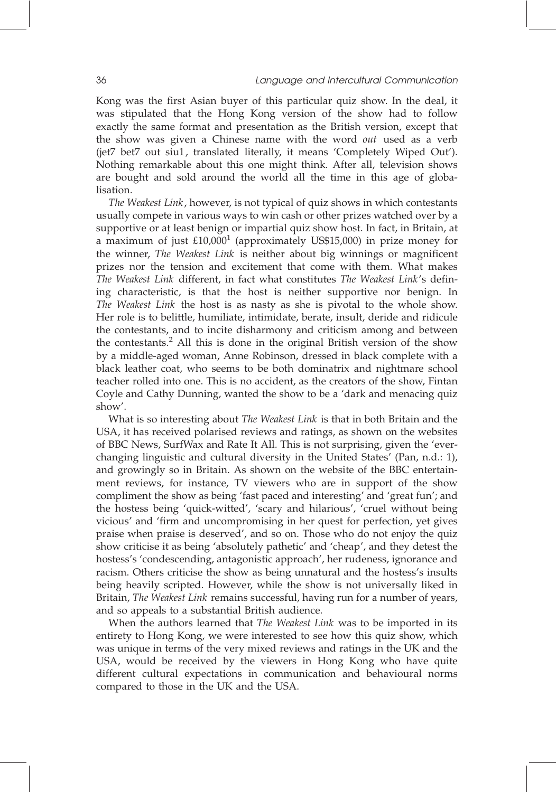Kong was the first Asian buyer of this particular quiz show. In the deal, it was stipulated that the Hong Kong version of the show had to follow exactly the same format and presentation as the British version, except that the show was given a Chinese name with the word *out* used as a verb (jet7 bet7 out siu1, translated literally, it means 'Completely Wiped Out'). Nothing remarkable about this one might think. After all, television shows are bought and sold around the world all the time in this age of globalisation.

The Weakest Link, however, is not typical of quiz shows in which contestants usually compete in various ways to win cash or other prizes watched over by a supportive or at least benign or impartial quiz show host. In fact, in Britain, at a maximum of just  $£10,000<sup>1</sup>$  (approximately US\$15,000) in prize money for the winner, The Weakest Link is neither about big winnings or magnificent prizes nor the tension and excitement that come with them. What makes The Weakest Link different, in fact what constitutes The Weakest Link's defining characteristic, is that the host is neither supportive nor benign. In The Weakest Link the host is as nasty as she is pivotal to the whole show. Her role is to belittle, humiliate, intimidate, berate, insult, deride and ridicule the contestants, and to incite disharmony and criticism among and between the contestants.<sup>2</sup> All this is done in the original British version of the show by a middle-aged woman, Anne Robinson, dressed in black complete with a black leather coat, who seems to be both dominatrix and nightmare school teacher rolled into one. This is no accident, as the creators of the show, Fintan Coyle and Cathy Dunning, wanted the show to be a 'dark and menacing quiz show'.

What is so interesting about The Weakest Link is that in both Britain and the USA, it has received polarised reviews and ratings, as shown on the websites of BBC News, SurfWax and Rate It All. This is not surprising, given the 'everchanging linguistic and cultural diversity in the United States' (Pan, n.d.: 1), and growingly so in Britain. As shown on the website of the BBC entertainment reviews, for instance, TV viewers who are in support of the show compliment the show as being 'fast paced and interesting' and 'great fun'; and the hostess being 'quick-witted', 'scary and hilarious', 'cruel without being vicious' and 'firm and uncompromising in her quest for perfection, yet gives praise when praise is deserved', and so on. Those who do not enjoy the quiz show criticise it as being 'absolutely pathetic' and 'cheap', and they detest the hostess's 'condescending, antagonistic approach', her rudeness, ignorance and racism. Others criticise the show as being unnatural and the hostess's insults being heavily scripted. However, while the show is not universally liked in Britain, The Weakest Link remains successful, having run for a number of years, and so appeals to a substantial British audience.

When the authors learned that The Weakest Link was to be imported in its entirety to Hong Kong, we were interested to see how this quiz show, which was unique in terms of the very mixed reviews and ratings in the UK and the USA, would be received by the viewers in Hong Kong who have quite different cultural expectations in communication and behavioural norms compared to those in the UK and the USA.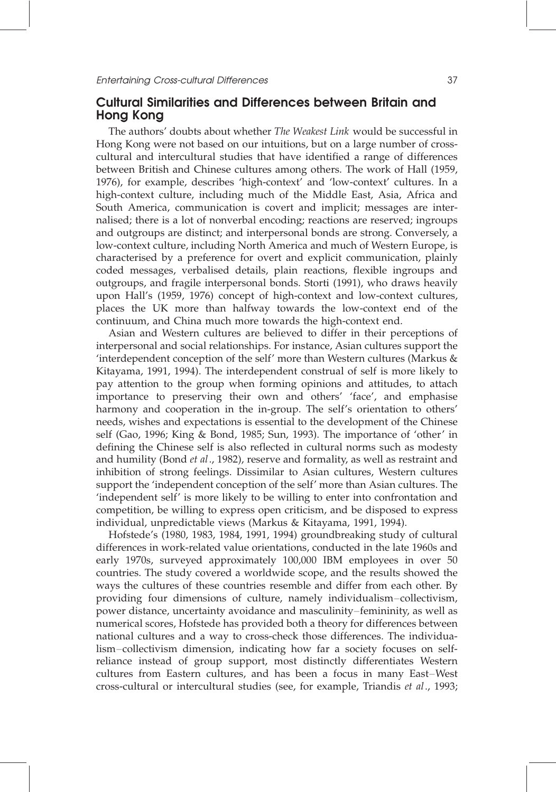# Cultural Similarities and Differences between Britain and Hong Kong

The authors' doubts about whether The Weakest Link would be successful in Hong Kong were not based on our intuitions, but on a large number of crosscultural and intercultural studies that have identified a range of differences between British and Chinese cultures among others. The work of Hall (1959, 1976), for example, describes 'high-context' and 'low-context' cultures. In a high-context culture, including much of the Middle East, Asia, Africa and South America, communication is covert and implicit; messages are internalised; there is a lot of nonverbal encoding; reactions are reserved; ingroups and outgroups are distinct; and interpersonal bonds are strong. Conversely, a low-context culture, including North America and much of Western Europe, is characterised by a preference for overt and explicit communication, plainly coded messages, verbalised details, plain reactions, flexible ingroups and outgroups, and fragile interpersonal bonds. Storti (1991), who draws heavily upon Hall's (1959, 1976) concept of high-context and low-context cultures, places the UK more than halfway towards the low-context end of the continuum, and China much more towards the high-context end.

Asian and Western cultures are believed to differ in their perceptions of interpersonal and social relationships. For instance, Asian cultures support the 'interdependent conception of the self' more than Western cultures (Markus  $\&$ Kitayama, 1991, 1994). The interdependent construal of self is more likely to pay attention to the group when forming opinions and attitudes, to attach importance to preserving their own and others' 'face', and emphasise harmony and cooperation in the in-group. The self's orientation to others' needs, wishes and expectations is essential to the development of the Chinese self (Gao, 1996; King & Bond, 1985; Sun, 1993). The importance of 'other' in defining the Chinese self is also reflected in cultural norms such as modesty and humility (Bond et al., 1982), reserve and formality, as well as restraint and inhibition of strong feelings. Dissimilar to Asian cultures, Western cultures support the 'independent conception of the self' more than Asian cultures. The 'independent self' is more likely to be willing to enter into confrontation and competition, be willing to express open criticism, and be disposed to express individual, unpredictable views (Markus & Kitayama, 1991, 1994).

Hofstede's (1980, 1983, 1984, 1991, 1994) groundbreaking study of cultural differences in work-related value orientations, conducted in the late 1960s and early 1970s, surveyed approximately 100,000 IBM employees in over 50 countries. The study covered a worldwide scope, and the results showed the ways the cultures of these countries resemble and differ from each other. By providing four dimensions of culture, namely individualism-collectivism, power distance, uncertainty avoidance and masculinity-femininity, as well as numerical scores, Hofstede has provided both a theory for differences between national cultures and a way to cross-check those differences. The individualism-collectivism dimension, indicating how far a society focuses on selfreliance instead of group support, most distinctly differentiates Western cultures from Eastern cultures, and has been a focus in many East-West cross-cultural or intercultural studies (see, for example, Triandis et al., 1993;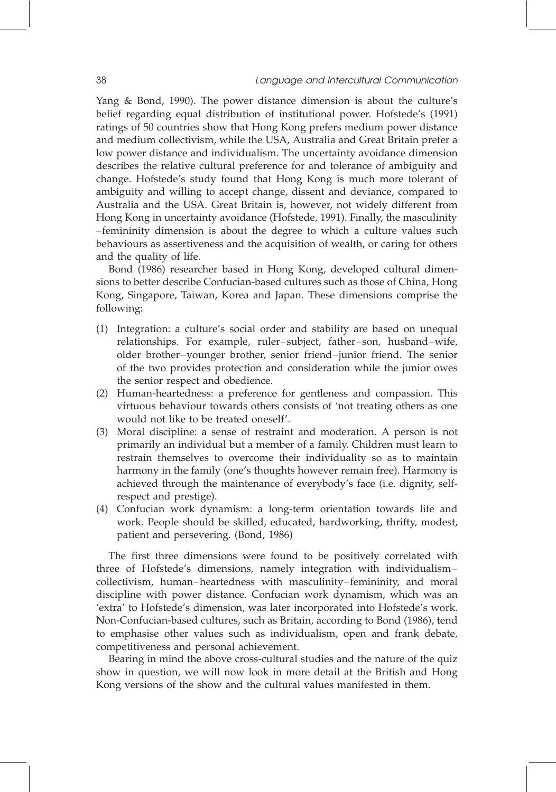Yang & Bond, 1990). The power distance dimension is about the culture's belief regarding equal distribution of institutional power. Hofstede's (1991) ratings of 50 countries show that Hong Kong prefers medium power distance and medium collectivism, while the USA, Australia and Great Britain prefer a low power distance and individualism. The uncertainty avoidance dimension describes the relative cultural preference for and tolerance of ambiguity and change. Hofstede's study found that Hong Kong is much more tolerant of ambiguity and willing to accept change, dissent and deviance, compared to Australia and the USA. Great Britain is, however, not widely different from Hong Kong in uncertainty avoidance (Hofstede, 1991). Finally, the masculinity femininity dimension is about the degree to which a culture values such behaviours as assertiveness and the acquisition of wealth, or caring for others and the quality of life.

Bond (1986) researcher based in Hong Kong, developed cultural dimensions to better describe Confucian-based cultures such as those of China, Hong Kong, Singapore, Taiwan, Korea and Japan. These dimensions comprise the following:

- (1) Integration: a culture's social order and stability are based on unequal relationships. For example, ruler-subject, father-son, husband-wife, older brother-younger brother, senior friend-junior friend. The senior of the two provides protection and consideration while the junior owes the senior respect and obedience.
- (2) Human-heartedness: a preference for gentleness and compassion. This virtuous behaviour towards others consists of 'not treating others as one would not like to be treated oneself'.
- (3) Moral discipline: a sense of restraint and moderation. A person is not primarily an individual but a member of a family. Children must learn to restrain themselves to overcome their individuality so as to maintain harmony in the family (one's thoughts however remain free). Harmony is achieved through the maintenance of everybody's face (i.e. dignity, selfrespect and prestige).
- (4) Confucian work dynamism: a long-term orientation towards life and work. People should be skilled, educated, hardworking, thrifty, modest, patient and persevering. (Bond, 1986)

The first three dimensions were found to be positively correlated with three of Hofstede's dimensions, namely integration with individualism collectivism, human-heartedness with masculinity-femininity, and moral discipline with power distance. Confucian work dynamism, which was an 'extra' to Hofstede's dimension, was later incorporated into Hofstede's work. Non-Confucian-based cultures, such as Britain, according to Bond (1986), tend to emphasise other values such as individualism, open and frank debate, competitiveness and personal achievement.

Bearing in mind the above cross-cultural studies and the nature of the quiz show in question, we will now look in more detail at the British and Hong Kong versions of the show and the cultural values manifested in them.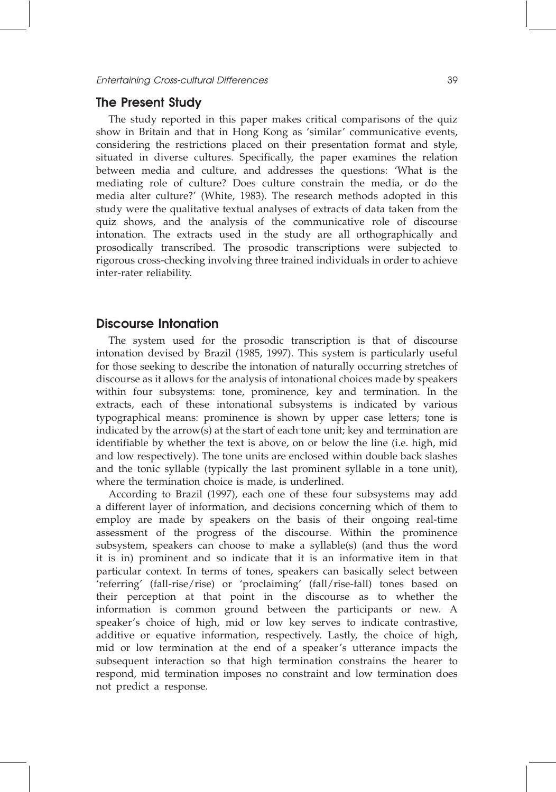# The Present Study

The study reported in this paper makes critical comparisons of the quiz show in Britain and that in Hong Kong as 'similar' communicative events, considering the restrictions placed on their presentation format and style, situated in diverse cultures. Specifically, the paper examines the relation between media and culture, and addresses the questions: 'What is the mediating role of culture? Does culture constrain the media, or do the media alter culture?' (White, 1983). The research methods adopted in this study were the qualitative textual analyses of extracts of data taken from the quiz shows, and the analysis of the communicative role of discourse intonation. The extracts used in the study are all orthographically and prosodically transcribed. The prosodic transcriptions were subjected to rigorous cross-checking involving three trained individuals in order to achieve inter-rater reliability.

# Discourse Intonation

The system used for the prosodic transcription is that of discourse intonation devised by Brazil (1985, 1997). This system is particularly useful for those seeking to describe the intonation of naturally occurring stretches of discourse as it allows for the analysis of intonational choices made by speakers within four subsystems: tone, prominence, key and termination. In the extracts, each of these intonational subsystems is indicated by various typographical means: prominence is shown by upper case letters; tone is indicated by the arrow(s) at the start of each tone unit; key and termination are identifiable by whether the text is above, on or below the line (i.e. high, mid and low respectively). The tone units are enclosed within double back slashes and the tonic syllable (typically the last prominent syllable in a tone unit), where the termination choice is made, is underlined.

According to Brazil (1997), each one of these four subsystems may add a different layer of information, and decisions concerning which of them to employ are made by speakers on the basis of their ongoing real-time assessment of the progress of the discourse. Within the prominence subsystem, speakers can choose to make a syllable(s) (and thus the word it is in) prominent and so indicate that it is an informative item in that particular context. In terms of tones, speakers can basically select between 'referring' (fall-rise/rise) or 'proclaiming' (fall/rise-fall) tones based on their perception at that point in the discourse as to whether the information is common ground between the participants or new. A speaker's choice of high, mid or low key serves to indicate contrastive, additive or equative information, respectively. Lastly, the choice of high, mid or low termination at the end of a speaker's utterance impacts the subsequent interaction so that high termination constrains the hearer to respond, mid termination imposes no constraint and low termination does not predict a response.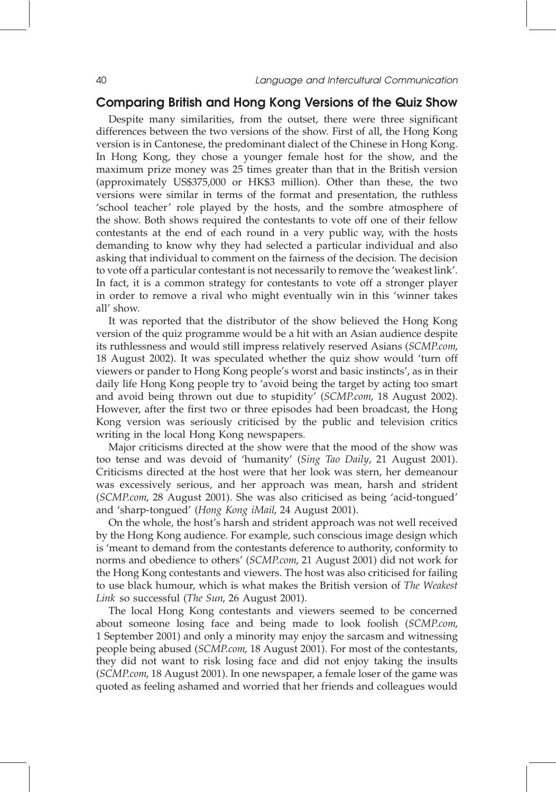# Comparing British and Hong Kong Versions of the Quiz Show

Despite many similarities, from the outset, there were three significant differences between the two versions of the show. First of all, the Hong Kong version is in Cantonese, the predominant dialect of the Chinese in Hong Kong. In Hong Kong, they chose a younger female host for the show, and the maximum prize money was 25 times greater than that in the British version (approximately US\$375,000 or HK\$3 million). Other than these, the two versions were similar in terms of the format and presentation, the ruthless 'school teacher' role played by the hosts, and the sombre atmosphere of the show. Both shows required the contestants to vote off one of their fellow contestants at the end of each round in a very public way, with the hosts demanding to know why they had selected a particular individual and also asking that individual to comment on the fairness of the decision. The decision to vote off a particular contestant is not necessarily to remove the 'weakest link'. In fact, it is a common strategy for contestants to vote off a stronger player in order to remove a rival who might eventually win in this 'winner takes all' show.

It was reported that the distributor of the show believed the Hong Kong version of the quiz programme would be a hit with an Asian audience despite its ruthlessness and would still impress relatively reserved Asians (SCMP.com, 18 August 2002). It was speculated whether the quiz show would 'turn off viewers or pander to Hong Kong people's worst and basic instincts', as in their daily life Hong Kong people try to 'avoid being the target by acting too smart and avoid being thrown out due to stupidity' (SCMP.com, 18 August 2002). However, after the first two or three episodes had been broadcast, the Hong Kong version was seriously criticised by the public and television critics writing in the local Hong Kong newspapers.

Major criticisms directed at the show were that the mood of the show was too tense and was devoid of 'humanity' (Sing Tao Daily, 21 August 2001). Criticisms directed at the host were that her look was stern, her demeanour was excessively serious, and her approach was mean, harsh and strident (SCMP.com, 28 August 2001). She was also criticised as being 'acid-tongued' and 'sharp-tongued' (Hong Kong iMail, 24 August 2001).

On the whole, the host's harsh and strident approach was not well received by the Hong Kong audience. For example, such conscious image design which is 'meant to demand from the contestants deference to authority, conformity to norms and obedience to others' (SCMP.com, 21 August 2001) did not work for the Hong Kong contestants and viewers. The host was also criticised for failing to use black humour, which is what makes the British version of The Weakest Link so successful (The Sun, 26 August 2001).

The local Hong Kong contestants and viewers seemed to be concerned about someone losing face and being made to look foolish (SCMP.com, 1 September 2001) and only a minority may enjoy the sarcasm and witnessing people being abused (SCMP.com, 18 August 2001). For most of the contestants, they did not want to risk losing face and did not enjoy taking the insults (SCMP.com, 18 August 2001). In one newspaper, a female loser of the game was quoted as feeling ashamed and worried that her friends and colleagues would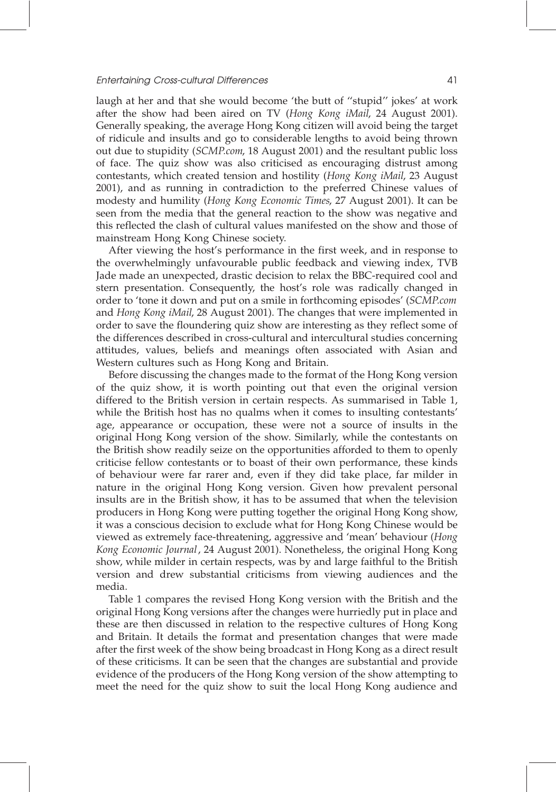laugh at her and that she would become 'the butt of ''stupid'' jokes' at work after the show had been aired on TV (Hong Kong iMail, 24 August 2001). Generally speaking, the average Hong Kong citizen will avoid being the target of ridicule and insults and go to considerable lengths to avoid being thrown out due to stupidity (SCMP.com, 18 August 2001) and the resultant public loss of face. The quiz show was also criticised as encouraging distrust among contestants, which created tension and hostility (Hong Kong iMail, 23 August 2001), and as running in contradiction to the preferred Chinese values of modesty and humility (Hong Kong Economic Times, 27 August 2001). It can be seen from the media that the general reaction to the show was negative and this reflected the clash of cultural values manifested on the show and those of mainstream Hong Kong Chinese society.

After viewing the host's performance in the first week, and in response to the overwhelmingly unfavourable public feedback and viewing index, TVB Jade made an unexpected, drastic decision to relax the BBC-required cool and stern presentation. Consequently, the host's role was radically changed in order to 'tone it down and put on a smile in forthcoming episodes' (SCMP.com and Hong Kong iMail, 28 August 2001). The changes that were implemented in order to save the floundering quiz show are interesting as they reflect some of the differences described in cross-cultural and intercultural studies concerning attitudes, values, beliefs and meanings often associated with Asian and Western cultures such as Hong Kong and Britain.

Before discussing the changes made to the format of the Hong Kong version of the quiz show, it is worth pointing out that even the original version differed to the British version in certain respects. As summarised in Table 1, while the British host has no qualms when it comes to insulting contestants' age, appearance or occupation, these were not a source of insults in the original Hong Kong version of the show. Similarly, while the contestants on the British show readily seize on the opportunities afforded to them to openly criticise fellow contestants or to boast of their own performance, these kinds of behaviour were far rarer and, even if they did take place, far milder in nature in the original Hong Kong version. Given how prevalent personal insults are in the British show, it has to be assumed that when the television producers in Hong Kong were putting together the original Hong Kong show, it was a conscious decision to exclude what for Hong Kong Chinese would be viewed as extremely face-threatening, aggressive and 'mean' behaviour (Hong Kong Economic Journal, 24 August 2001). Nonetheless, the original Hong Kong show, while milder in certain respects, was by and large faithful to the British version and drew substantial criticisms from viewing audiences and the media.

Table 1 compares the revised Hong Kong version with the British and the original Hong Kong versions after the changes were hurriedly put in place and these are then discussed in relation to the respective cultures of Hong Kong and Britain. It details the format and presentation changes that were made after the first week of the show being broadcast in Hong Kong as a direct result of these criticisms. It can be seen that the changes are substantial and provide evidence of the producers of the Hong Kong version of the show attempting to meet the need for the quiz show to suit the local Hong Kong audience and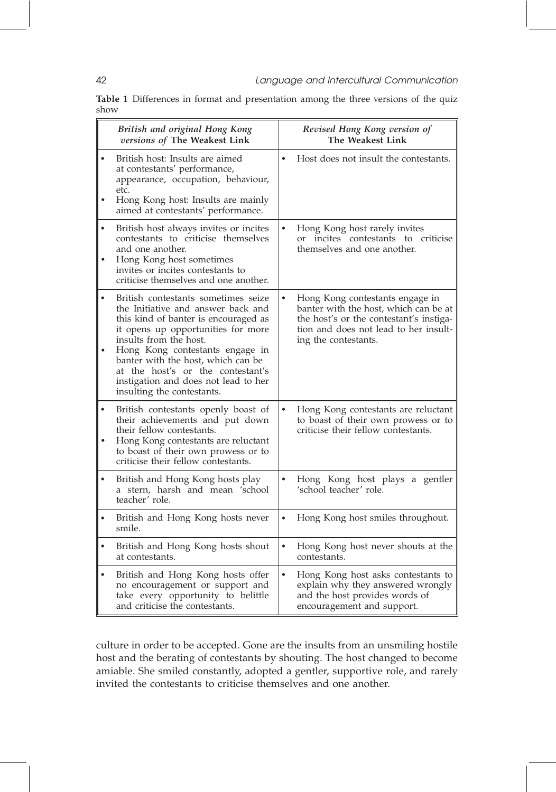|      |  |  | Table 1 Differences in format and presentation among the three versions of the quiz |  |  |  |  |
|------|--|--|-------------------------------------------------------------------------------------|--|--|--|--|
| show |  |  |                                                                                     |  |  |  |  |

| British and original Hong Kong<br>versions of The Weakest Link                                                                                                                                                                                                                                                                                                        |           | Revised Hong Kong version of<br><b>The Weakest Link</b>                                                                                                                              |
|-----------------------------------------------------------------------------------------------------------------------------------------------------------------------------------------------------------------------------------------------------------------------------------------------------------------------------------------------------------------------|-----------|--------------------------------------------------------------------------------------------------------------------------------------------------------------------------------------|
| British host: Insults are aimed<br>at contestants' performance,<br>appearance, occupation, behaviour,<br>etc.<br>Hong Kong host: Insults are mainly<br>aimed at contestants' performance.                                                                                                                                                                             | $\bullet$ | Host does not insult the contestants.                                                                                                                                                |
| British host always invites or incites<br>contestants to criticise themselves<br>and one another.<br>Hong Kong host sometimes<br>invites or incites contestants to<br>criticise themselves and one another.                                                                                                                                                           |           | Hong Kong host rarely invites<br>or incites contestants to criticise<br>themselves and one another.                                                                                  |
| British contestants sometimes seize<br>the Initiative and answer back and<br>this kind of banter is encouraged as<br>it opens up opportunities for more<br>insults from the host.<br>Hong Kong contestants engage in<br>banter with the host, which can be<br>at the host's or the contestant's<br>instigation and does not lead to her<br>insulting the contestants. |           | Hong Kong contestants engage in<br>banter with the host, which can be at<br>the host's or the contestant's instiga-<br>tion and does not lead to her insult-<br>ing the contestants. |
| British contestants openly boast of<br>their achievements and put down<br>their fellow contestants.<br>Hong Kong contestants are reluctant<br>to boast of their own prowess or to<br>criticise their fellow contestants.                                                                                                                                              |           | Hong Kong contestants are reluctant<br>to boast of their own prowess or to<br>criticise their fellow contestants.                                                                    |
| British and Hong Kong hosts play<br>a stern, harsh and mean 'school<br>teacher' role.                                                                                                                                                                                                                                                                                 |           | Hong Kong host plays a gentler<br>'school teacher' role.                                                                                                                             |
| British and Hong Kong hosts never<br>smile.                                                                                                                                                                                                                                                                                                                           | $\bullet$ | Hong Kong host smiles throughout.                                                                                                                                                    |
| British and Hong Kong hosts shout<br>at contestants.                                                                                                                                                                                                                                                                                                                  | $\bullet$ | Hong Kong host never shouts at the<br>contestants.                                                                                                                                   |
| British and Hong Kong hosts offer<br>no encouragement or support and<br>take every opportunity to belittle<br>and criticise the contestants.                                                                                                                                                                                                                          |           | Hong Kong host asks contestants to<br>explain why they answered wrongly<br>and the host provides words of<br>encouragement and support.                                              |

culture in order to be accepted. Gone are the insults from an unsmiling hostile host and the berating of contestants by shouting. The host changed to become amiable. She smiled constantly, adopted a gentler, supportive role, and rarely invited the contestants to criticise themselves and one another.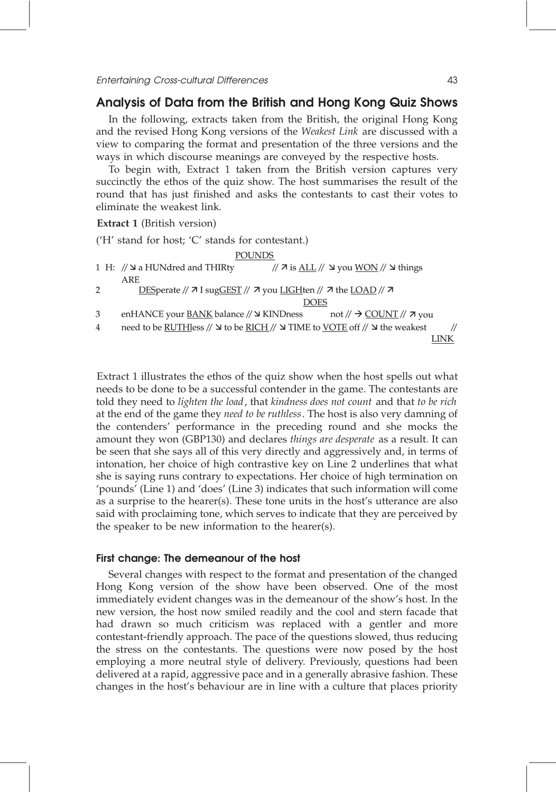# Analysis of Data from the British and Hong Kong Quiz Shows

In the following, extracts taken from the British, the original Hong Kong and the revised Hong Kong versions of the Weakest Link are discussed with a view to comparing the format and presentation of the three versions and the ways in which discourse meanings are conveyed by the respective hosts.

To begin with, Extract 1 taken from the British version captures very succinctly the ethos of the quiz show. The host summarises the result of the round that has just finished and asks the contestants to cast their votes to eliminate the weakest link.

Extract 1 (British version)

('H' stand for host; 'C' stands for contestant.)

|                | PUUNDS                                                                                                                                          |
|----------------|-------------------------------------------------------------------------------------------------------------------------------------------------|
|                | $\frac{1}{\sqrt{7}}$ is <u>ALL</u> $\frac{1}{\sqrt{9}}$ you <u>WON</u> $\frac{1}{\sqrt{9}}$ things<br>$1$ H: $\mathcal{U}$ a HUNdred and THIRty |
|                | ARE                                                                                                                                             |
| $\overline{2}$ | DESperate // $\sqrt{7}$ I sugGEST // $\sqrt{7}$ you LIGHten // $\sqrt{7}$ the LOAD // $\sqrt{7}$                                                |
|                | DOES                                                                                                                                            |
| 3              | enHANCE your <u>BANK</u> balance // <b>⊻</b> KINDness<br>not // $\rightarrow$ COUNT // $\pi$ you                                                |
| $\overline{4}$ | need to be RUTHless // ע to be RICH // צ TIME to VOTE off // ע the weakest<br>71                                                                |
|                | LINK                                                                                                                                            |

 $201200$ 

Extract 1 illustrates the ethos of the quiz show when the host spells out what needs to be done to be a successful contender in the game. The contestants are told they need to lighten the load, that kindness does not count and that to be rich at the end of the game they need to be ruthless. The host is also very damning of the contenders' performance in the preceding round and she mocks the amount they won (GBP130) and declares things are desperate as a result. It can be seen that she says all of this very directly and aggressively and, in terms of intonation, her choice of high contrastive key on Line 2 underlines that what she is saying runs contrary to expectations. Her choice of high termination on 'pounds' (Line 1) and 'does' (Line 3) indicates that such information will come as a surprise to the hearer(s). These tone units in the host's utterance are also said with proclaiming tone, which serves to indicate that they are perceived by the speaker to be new information to the hearer(s).

#### First change: The demeanour of the host

Several changes with respect to the format and presentation of the changed Hong Kong version of the show have been observed. One of the most immediately evident changes was in the demeanour of the show's host. In the new version, the host now smiled readily and the cool and stern facade that had drawn so much criticism was replaced with a gentler and more contestant-friendly approach. The pace of the questions slowed, thus reducing the stress on the contestants. The questions were now posed by the host employing a more neutral style of delivery. Previously, questions had been delivered at a rapid, aggressive pace and in a generally abrasive fashion. These changes in the host's behaviour are in line with a culture that places priority

 $\frac{1}{2}$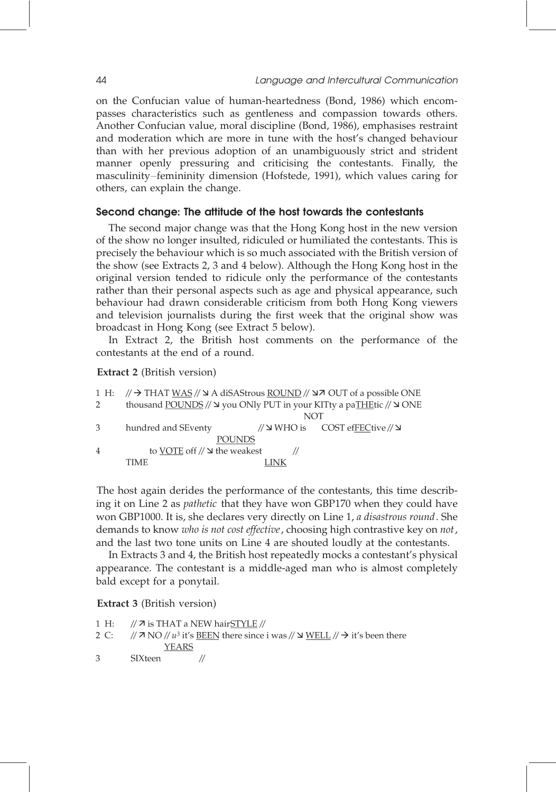on the Confucian value of human-heartedness (Bond, 1986) which encompasses characteristics such as gentleness and compassion towards others. Another Confucian value, moral discipline (Bond, 1986), emphasises restraint and moderation which are more in tune with the host's changed behaviour than with her previous adoption of an unambiguously strict and strident manner openly pressuring and criticising the contestants. Finally, the masculinity–femininity dimension (Hofstede, 1991), which values caring for others, can explain the change.

#### Second change: The attitude of the host towards the contestants

The second major change was that the Hong Kong host in the new version of the show no longer insulted, ridiculed or humiliated the contestants. This is precisely the behaviour which is so much associated with the British version of the show (see Extracts 2, 3 and 4 below). Although the Hong Kong host in the original version tended to ridicule only the performance of the contestants rather than their personal aspects such as age and physical appearance, such behaviour had drawn considerable criticism from both Hong Kong viewers and television journalists during the first week that the original show was broadcast in Hong Kong (see Extract 5 below).

In Extract 2, the British host comments on the performance of the contestants at the end of a round.

#### Extract 2 (British version)

|                | 1 H: // → THAT WAS // ∆ A diSAStrous ROUND // או OUT of a possible ONE |      |                                                                                    |
|----------------|------------------------------------------------------------------------|------|------------------------------------------------------------------------------------|
| 2              | thousand POUNDS // ⊻ you ONly PUT in your KITty a paTHEtic // ⊻ ONE    |      |                                                                                    |
|                |                                                                        | NOT  |                                                                                    |
| 3              | hundred and SEventy                                                    |      | $\mathbb{Z}/\mathbb{Z}$ WHO is $\mathbb{C}$ COST efFECtive $\mathbb{Z}/\mathbb{Z}$ |
|                | <b>POUNDS</b>                                                          |      |                                                                                    |
| $\overline{4}$ | to VOTE off $\text{/}\prime$ $\blacktriangle$ the weakest              |      |                                                                                    |
|                | TIME                                                                   | LINK |                                                                                    |
|                |                                                                        |      |                                                                                    |

The host again derides the performance of the contestants, this time describing it on Line 2 as pathetic that they have won GBP170 when they could have won GBP1000. It is, she declares very directly on Line 1, a disastrous round. She demands to know who is not cost effective, choosing high contrastive key on not, and the last two tone units on Line 4 are shouted loudly at the contestants.

In Extracts 3 and 4, the British host repeatedly mocks a contestant's physical appearance. The contestant is a middle-aged man who is almost completely bald except for a ponytail.

Extract 3 (British version)

- $1 H:$ // 7 is THAT a NEW hairSTYLE //
- $2 C:$ // **7** NO //  $u^3$  it's <u>BEEN</u> there since i was // **⊻** WELL // → it's been there **YEARS**
- $\mathcal{R}$ SIXteen  $\frac{1}{2}$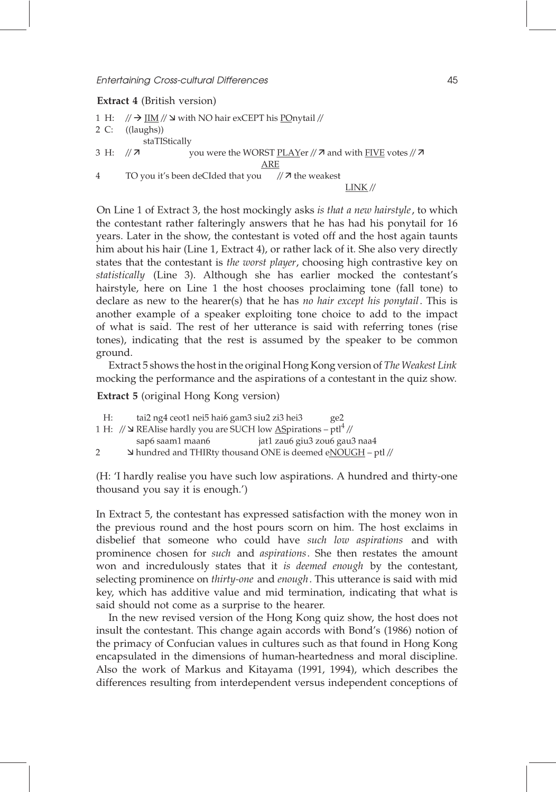#### Extract 4 (British version)

 $1 H:$ // → JIM //  $\triangleright$  with NO hair exCEPT his POnytail //  $2^{\circ}$  C:  $($ (laughs) $)$ staTIStically 3 H:  $\frac{1}{2}$ you were the WORST PLAYer // 7 and with FIVE votes // 7 **ARE** TO you it's been deCIded that you  $//$  7 the weakest  $\overline{4}$  $LINK://$ 

On Line 1 of Extract 3, the host mockingly asks is that a new hairstyle, to which the contestant rather falteringly answers that he has had his ponytail for 16 years. Later in the show, the contestant is voted off and the host again taunts him about his hair (Line 1, Extract 4), or rather lack of it. She also very directly states that the contestant is the worst player, choosing high contrastive key on statistically (Line 3). Although she has earlier mocked the contestant's hairstyle, here on Line 1 the host chooses proclaiming tone (fall tone) to declare as new to the hearer(s) that he has no hair except his ponytail. This is another example of a speaker exploiting tone choice to add to the impact of what is said. The rest of her utterance is said with referring tones (rise tones), indicating that the rest is assumed by the speaker to be common ground.

Extract 5 shows the host in the original Hong Kong version of The Weakest Link mocking the performance and the aspirations of a contestant in the quiz show.

Extract 5 (original Hong Kong version)

| H: | tai2 ng4 ceot1 nei5 hai6 gam3 siu2 zi3 hei3 | ge2                                                                                      |
|----|---------------------------------------------|------------------------------------------------------------------------------------------|
|    |                                             | 1 H: // NEAlise hardly you are SUCH low $\underline{AS}$ pirations – ptl <sup>4</sup> // |
|    | sap6 saam1 maan6                            | jat1 zau6 giu3 zou6 gau3 naa4                                                            |
|    |                                             | $\Delta$ hundred and THIRty thousand ONE is deemed eNOUGH - ptl //                       |
|    |                                             |                                                                                          |

(H: 'I hardly realise you have such low aspirations. A hundred and thirty-one thousand you say it is enough.')

In Extract 5, the contestant has expressed satisfaction with the money won in the previous round and the host pours scorn on him. The host exclaims in disbelief that someone who could have such low aspirations and with prominence chosen for such and aspirations. She then restates the amount won and incredulously states that it is deemed enough by the contestant, selecting prominence on thirty-one and enough. This utterance is said with mid key, which has additive value and mid termination, indicating that what is said should not come as a surprise to the hearer.

In the new revised version of the Hong Kong quiz show, the host does not insult the contestant. This change again accords with Bond's (1986) notion of the primacy of Confucian values in cultures such as that found in Hong Kong encapsulated in the dimensions of human-heartedness and moral discipline. Also the work of Markus and Kitayama (1991, 1994), which describes the differences resulting from interdependent versus independent conceptions of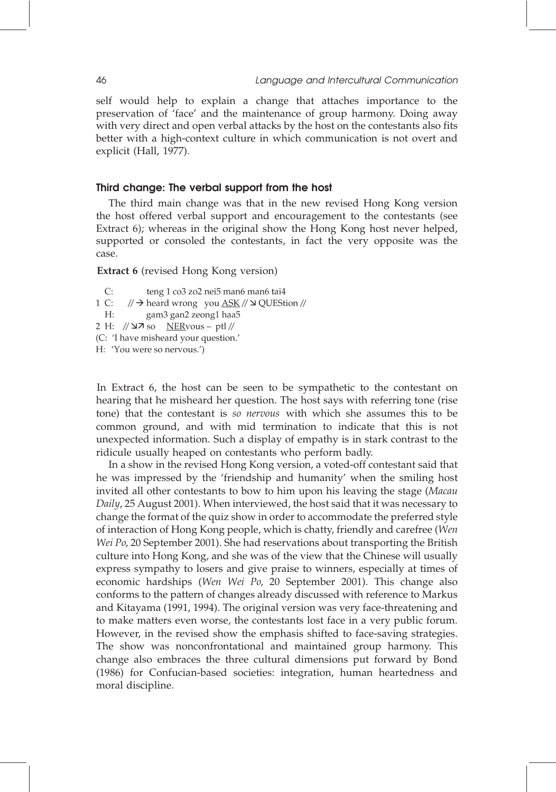self would help to explain a change that attaches importance to the preservation of 'face' and the maintenance of group harmony. Doing away with very direct and open verbal attacks by the host on the contestants also fits better with a high-context culture in which communication is not overt and explicit (Hall, 1977).

## Third change: The verbal support from the host

The third main change was that in the new revised Hong Kong version the host offered verbal support and encouragement to the contestants (see Extract 6); whereas in the original show the Hong Kong host never helped, supported or consoled the contestants, in fact the very opposite was the case.

### Extract 6 (revised Hong Kong version)

teng 1 co3 zo2 nei5 man6 man6 tai4  $\bigcap$  $1 C:$ // → heard wrong you ASK // ∨ QUEStion //  $H:$ gam3 gan2 zeong1 haa5 2 H: // אס So NERvous – ptl // (C: 'I have misheard your question.' H: 'You were so nervous.')

In Extract 6, the host can be seen to be sympathetic to the contestant on hearing that he misheard her question. The host says with referring tone (rise tone) that the contestant is so nervous with which she assumes this to be common ground, and with mid termination to indicate that this is not unexpected information. Such a display of empathy is in stark contrast to the ridicule usually heaped on contestants who perform badly.

In a show in the revised Hong Kong version, a voted-off contestant said that he was impressed by the 'friendship and humanity' when the smiling host invited all other contestants to bow to him upon his leaving the stage (Macau Daily, 25 August 2001). When interviewed, the host said that it was necessary to change the format of the quiz show in order to accommodate the preferred style of interaction of Hong Kong people, which is chatty, friendly and carefree (Wen Wei Po, 20 September 2001). She had reservations about transporting the British culture into Hong Kong, and she was of the view that the Chinese will usually express sympathy to losers and give praise to winners, especially at times of economic hardships (Wen Wei Po, 20 September 2001). This change also conforms to the pattern of changes already discussed with reference to Markus and Kitayama (1991, 1994). The original version was very face-threatening and to make matters even worse, the contestants lost face in a very public forum. However, in the revised show the emphasis shifted to face-saving strategies. The show was nonconfrontational and maintained group harmony. This change also embraces the three cultural dimensions put forward by Bond (1986) for Confucian-based societies: integration, human heartedness and moral discipline.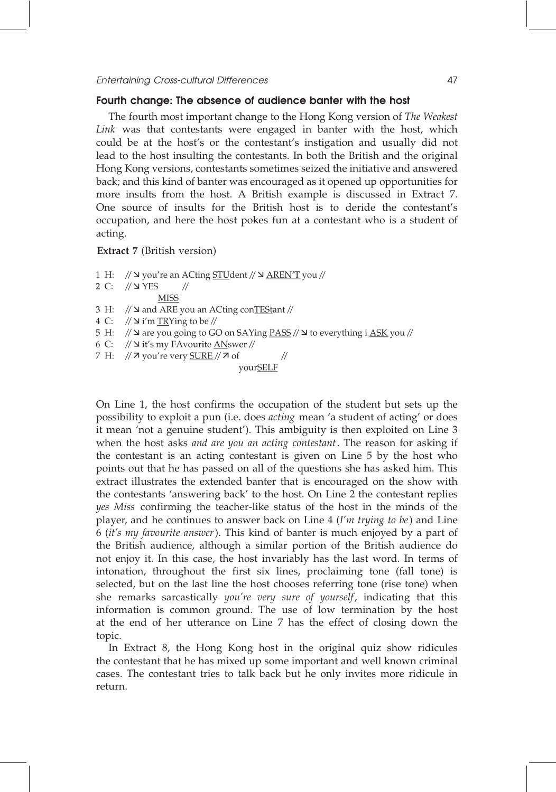#### Fourth change: The absence of audience banter with the host

The fourth most important change to the Hong Kong version of The Weakest Link was that contestants were engaged in banter with the host, which could be at the host's or the contestant's instigation and usually did not lead to the host insulting the contestants. In both the British and the original Hong Kong versions, contestants sometimes seized the initiative and answered back; and this kind of banter was encouraged as it opened up opportunities for more insults from the host. A British example is discussed in Extract 7. One source of insults for the British host is to deride the contestant's occupation, and here the host pokes fun at a contestant who is a student of acting.

Extract 7 (British version)

- // you're an ACting STUdent // ⊻ AREN'T you لا you //  $1 H<sub>1</sub>$
- 2 C:  $\mathbb{Z}$  צ $YES$  $^{\prime\prime}$ **MISS**
- 3 H: // and ARE you an ACting conTEStant //
- $4 \, C:$ // i'm TRYing to be //
- $\frac{1}{2}$  are you going to GO on SAYing PASS  $\frac{1}{2}$  to everything i ASK you  $\frac{1}{2}$ 5 H:
- 6 C: //  $\vee$  it's my FAvourite ANswer //
- 7 H: //  $\sqrt{7}$  you're very SURE //  $\sqrt{7}$  of  $^{\prime\prime}$

yourSELF

On Line 1, the host confirms the occupation of the student but sets up the possibility to exploit a pun (i.e. does acting mean 'a student of acting' or does it mean 'not a genuine student'). This ambiguity is then exploited on Line 3 when the host asks and are you an acting contestant. The reason for asking if the contestant is an acting contestant is given on Line 5 by the host who points out that he has passed on all of the questions she has asked him. This extract illustrates the extended banter that is encouraged on the show with the contestants 'answering back' to the host. On Line 2 the contestant replies yes Miss confirming the teacher-like status of the host in the minds of the player, and he continues to answer back on Line 4 (I'm trying to be) and Line 6 (it's my favourite answer). This kind of banter is much enjoyed by a part of the British audience, although a similar portion of the British audience do not enjoy it. In this case, the host invariably has the last word. In terms of intonation, throughout the first six lines, proclaiming tone (fall tone) is selected, but on the last line the host chooses referring tone (rise tone) when she remarks sarcastically you're very sure of yourself, indicating that this information is common ground. The use of low termination by the host at the end of her utterance on Line 7 has the effect of closing down the topic.

In Extract 8, the Hong Kong host in the original quiz show ridicules the contestant that he has mixed up some important and well known criminal cases. The contestant tries to talk back but he only invites more ridicule in return.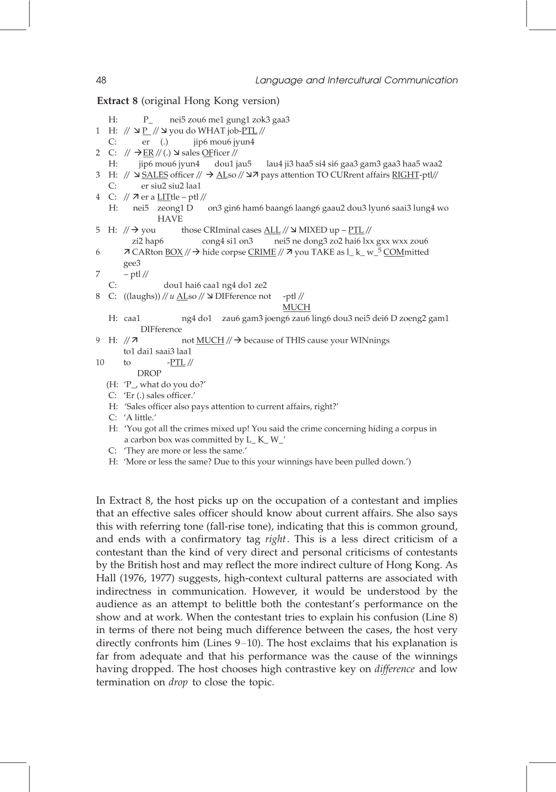Extract 8 (original Hong Kong version)

 $P$ nei5 zou6 me1 gung1 zok3 gaa3  $H^1$ 1 H: //  $\vee$  P // you do WHAT job-PTL //  $C:$  $er$  (.) jip6 mou6 jyun4 2 C:  $\pi$   $\rightarrow$  ER  $\pi$   $\rightarrow$  sales OFficer  $\pi$ dou1 jau5 lau4 ji3 haa5 si4 si6 gaa3 gam3 gaa3 haa5 waa2  $H^*$ iip6 mou6 ivun4 3 H: // SALES officer // → ALso // ۵ Pays attention TO CURrent affairs RIGHT-ptl//  $\mathcal{C}$ er siu2 siu2 laa1 4 C: //  $7 \text{ er a LITtle} - ptl$  //  $H:$ nei5 zeong1 D on3 gin6 ham6 baang6 laang6 gaau2 dou3 lyun6 saai3 lung4 wo **HAVE** 

- 5 H:  $\pi$  you those CRIminal cases ALL // שב MIXED up - PTL // cong4 si1 on3 zi2 hap6 nei5 ne dong3 zo2 hai6 lxx gxx wxx zou6  $\sqrt{7}$  CARton BOX //  $\rightarrow$  hide corpse CRIME //  $\sqrt{7}$  you TAKE as l\_ k\_ w\_<sup>5</sup> COMmitted 6
- gee3  $\overline{7}$
- $-$  ptl  $\mathcal N$

10

- $C:$ dou1 hai6 caa1 ng4 do1 ze2
- 8 C: ((laughs)) //  $u \underline{A L}$ so //  $\Delta$  DIFference not -ptl  $\mathcal N$

#### **MUCH**

- $H<sub>1</sub>$  caa1 ng4 do1 zau6 gam3 joeng6 zau6 ling6 dou3 nei5 dei6 D zoeng2 gam1 **DIFference**
- $\mathbf{Q}$  $H: \mathbb{Z}/Z$ not MUCH  $\text{/}$   $\rightarrow$  because of THIS cause your WINnings to1 dai1 saai3 laa1
	- $-$ PTL $\#$  $t_{\Omega}$ 
		- **DROP**
	- (H: 'P\_, what do you do?'
	- C: 'Er (.) sales officer.'
	- H: 'Sales officer also pays attention to current affairs, right?'
	- C: 'A little.'
	- H: 'You got all the crimes mixed up! You said the crime concerning hiding a corpus in a carbon box was committed by L\_K\_W\_'
	- C: 'They are more or less the same.'
	- H: 'More or less the same? Due to this your winnings have been pulled down.')

In Extract 8, the host picks up on the occupation of a contestant and implies that an effective sales officer should know about current affairs. She also says this with referring tone (fall-rise tone), indicating that this is common ground, and ends with a confirmatory tag right. This is a less direct criticism of a contestant than the kind of very direct and personal criticisms of contestants by the British host and may reflect the more indirect culture of Hong Kong. As Hall (1976, 1977) suggests, high-context cultural patterns are associated with indirectness in communication. However, it would be understood by the audience as an attempt to belittle both the contestant's performance on the show and at work. When the contestant tries to explain his confusion (Line 8) in terms of there not being much difference between the cases, the host very directly confronts him (Lines  $9-10$ ). The host exclaims that his explanation is far from adequate and that his performance was the cause of the winnings having dropped. The host chooses high contrastive key on *difference* and low termination on drop to close the topic.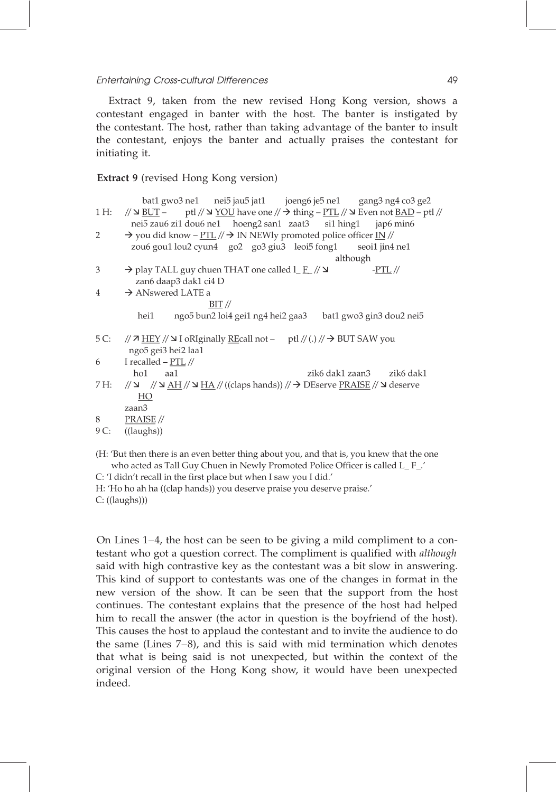Extract 9, taken from the new revised Hong Kong version, shows a contestant engaged in banter with the host. The banter is instigated by the contestant. The host, rather than taking advantage of the banter to insult the contestant, enjoys the banter and actually praises the contestant for initiating it.

#### Extract 9 (revised Hong Kong version)

|                | bat1 gwo3 ne1 nei5 jau5 jat1 joeng6 je5 ne1 gang3 ng4 co3 ge2                                                                  |
|----------------|--------------------------------------------------------------------------------------------------------------------------------|
| $1H$ :         | $\frac{1}{2}$ צ ∐ Even not <u>BAD</u> – ptl // צ <u>YOU</u> have one // <del>&gt;</del> thing – PTL // ⊻ Even not BAD – ptl // |
|                | nei5 zau6 zi1 dou6 ne1 hoeng2 san1 zaat3 si1 hing1 jap6 min6                                                                   |
| $\overline{2}$ | $\rightarrow$ you did know – PTL // $\rightarrow$ IN NEWly promoted police officer IN //                                       |
|                | zou6 gou1 lou2 cyun4 go2 go3 giu3 leoi5 fong1 seoi1 jin4 ne1                                                                   |
|                | although                                                                                                                       |
| 3              | $\rightarrow$ play TALL guy chuen THAT one called l_E_// $\triangleright$<br>-PTL $\mathcal N$                                 |
|                | zan6 daap3 dak1 ci4 D                                                                                                          |
| 4              | $\rightarrow$ ANswered LATE a                                                                                                  |
|                | $BIT$ //                                                                                                                       |
|                | ngo5 bun2 loi4 gei1 ng4 hei2 gaa3 bat1 gwo3 gin3 dou2 nei5<br>hei1                                                             |
|                | 5 C: // <b>7</b> <u>HEY</u> // ⊻ I oRIginally <u>REcall not</u> – ptl // (.) // → BUT SAW you<br>ngo5 gei3 hei2 laa1           |
| 6              | I recalled $-$ PTL $\mathcal{N}$                                                                                               |
|                | ho1<br>zik6 dak1 zaan3 zik6 dak1<br>aa1                                                                                        |
|                | 7 H: // ΔH // ΔH // ((claps hands)) // → DEserve PRAISE // Δ deserve                                                           |
|                | HO                                                                                                                             |
|                | zaan3                                                                                                                          |
|                |                                                                                                                                |
| 8              | PRAISE //                                                                                                                      |
| 9 C:           | $((\text{laughs}))$                                                                                                            |
|                | (H: 'But then there is an even better thing about you, and that is, you knew that the one                                      |
|                |                                                                                                                                |

- who acted as Tall Guy Chuen in Newly Promoted Police Officer is called L\_F\_'
- C: 'I didn't recall in the first place but when I saw you I did.'
- H: 'Ho ho ah ha ((clap hands)) you deserve praise you deserve praise.'

 $C: ((laughs)))$ 

On Lines  $1-4$ , the host can be seen to be giving a mild compliment to a contestant who got a question correct. The compliment is qualified with although said with high contrastive key as the contestant was a bit slow in answering. This kind of support to contestants was one of the changes in format in the new version of the show. It can be seen that the support from the host continues. The contestant explains that the presence of the host had helped him to recall the answer (the actor in question is the boyfriend of the host). This causes the host to applaud the contestant and to invite the audience to do the same (Lines  $7-8$ ), and this is said with mid termination which denotes that what is being said is not unexpected, but within the context of the original version of the Hong Kong show, it would have been unexpected indeed.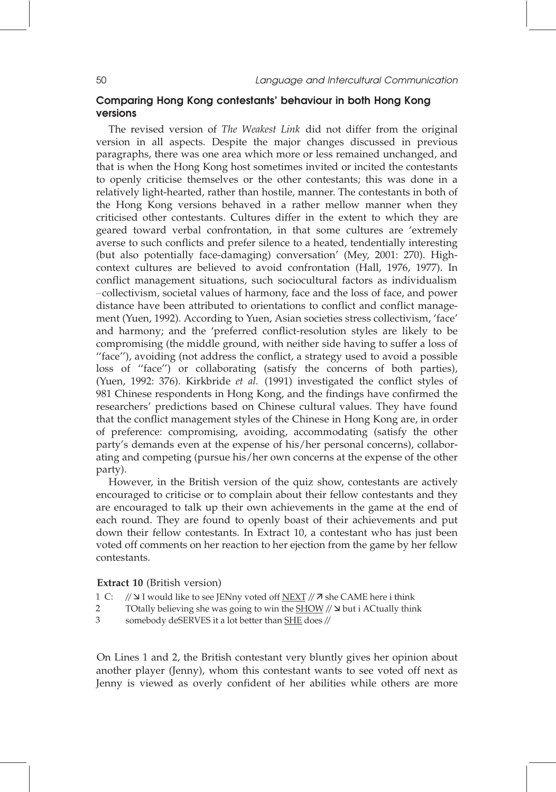# Comparing Hong Kong contestants' behaviour in both Hong Kong versions

The revised version of The Weakest Link did not differ from the original version in all aspects. Despite the major changes discussed in previous paragraphs, there was one area which more or less remained unchanged, and that is when the Hong Kong host sometimes invited or incited the contestants to openly criticise themselves or the other contestants; this was done in a relatively light-hearted, rather than hostile, manner. The contestants in both of the Hong Kong versions behaved in a rather mellow manner when they criticised other contestants. Cultures differ in the extent to which they are geared toward verbal confrontation, in that some cultures are 'extremely averse to such conflicts and prefer silence to a heated, tendentially interesting (but also potentially face-damaging) conversation' (Mey, 2001: 270). Highcontext cultures are believed to avoid confrontation (Hall, 1976, 1977). In conflict management situations, such sociocultural factors as individualism collectivism, societal values of harmony, face and the loss of face, and power distance have been attributed to orientations to conflict and conflict management (Yuen, 1992). According to Yuen, Asian societies stress collectivism, 'face' and harmony; and the 'preferred conflict-resolution styles are likely to be compromising (the middle ground, with neither side having to suffer a loss of ''face''), avoiding (not address the conflict, a strategy used to avoid a possible loss of ''face'') or collaborating (satisfy the concerns of both parties), (Yuen, 1992: 376). Kirkbride et al. (1991) investigated the conflict styles of 981 Chinese respondents in Hong Kong, and the findings have confirmed the researchers' predictions based on Chinese cultural values. They have found that the conflict management styles of the Chinese in Hong Kong are, in order of preference: compromising, avoiding, accommodating (satisfy the other party's demands even at the expense of his/her personal concerns), collaborating and competing (pursue his/her own concerns at the expense of the other party).

However, in the British version of the quiz show, contestants are actively encouraged to criticise or to complain about their fellow contestants and they are encouraged to talk up their own achievements in the game at the end of each round. They are found to openly boast of their achievements and put down their fellow contestants. In Extract 10, a contestant who has just been voted off comments on her reaction to her ejection from the game by her fellow contestants.

#### Extract 10 (British version)

- $1 C:$ // ∡ I would like to see JENny voted off NEXT // 7 she CAME here i think
- $\mathcal{D}$ TOtally believing she was going to win the SHOW  $\frac{1}{2}$  but i ACtually think
- 3 somebody deSERVES it a lot better than SHE does //

On Lines 1 and 2, the British contestant very bluntly gives her opinion about another player (Jenny), whom this contestant wants to see voted off next as Jenny is viewed as overly confident of her abilities while others are more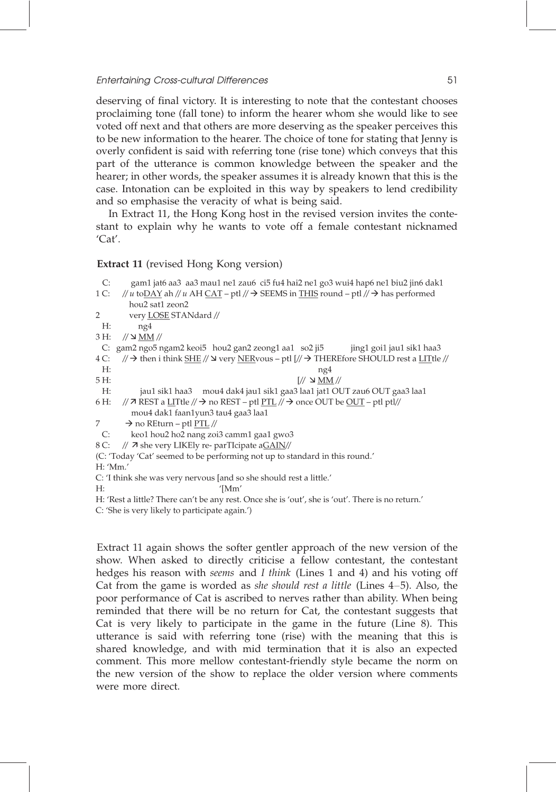deserving of final victory. It is interesting to note that the contestant chooses proclaiming tone (fall tone) to inform the hearer whom she would like to see voted off next and that others are more deserving as the speaker perceives this to be new information to the hearer. The choice of tone for stating that Jenny is overly confident is said with referring tone (rise tone) which conveys that this part of the utterance is common knowledge between the speaker and the hearer; in other words, the speaker assumes it is already known that this is the case. Intonation can be exploited in this way by speakers to lend credibility and so emphasise the veracity of what is being said.

In Extract 11, the Hong Kong host in the revised version invites the contestant to explain why he wants to vote off a female contestant nicknamed 'Cat'.

#### Extract 11 (revised Hong Kong version)

| C:           | gam1 jat6 aa3 aa3 mau1 ne1 zau6 ci5 fu4 hai2 ne1 go3 wui4 hap6 ne1 biu2 jin6 dak1                              |
|--------------|----------------------------------------------------------------------------------------------------------------|
|              | 1 C: // u toDAY ah // u AH CAT – ptl // $\rightarrow$ SEEMS in THIS round – ptl // $\rightarrow$ has performed |
|              | hou2 sat1 zeon2                                                                                                |
| $\mathbf{2}$ | very LOSE STANdard //                                                                                          |
| H:           | ng4                                                                                                            |
| 3 H:         |                                                                                                                |
|              | C: gam2 ngo5 ngam2 keoi5 hou2 gan2 zeong1 aa1 so2 ji5 jing1 goi1 jau1 sik1 haa3                                |
|              | 4 C: // → then i think SHE // $\triangleright$ very NERvous – ptl [// → THEREfore SHOULD rest a LITtle //      |
| H:           | ng4                                                                                                            |
| 5 H:         | $1//$ $M/M$                                                                                                    |
| H:           | jau1 sik1 haa3 mou4 dak4 jau1 sik1 gaa3 laa1 jat1 OUT zau6 OUT gaa3 laa1                                       |
| 6 H:         | // $\pi$ REST a LITtle // $\rightarrow$ no REST – ptl PTL // $\rightarrow$ once OUT be OUT – ptl ptl//         |
|              | mou4 dak1 faan1yun3 tau4 gaa3 laa1                                                                             |
| 7            | $\rightarrow$ no REturn – ptl PTL //                                                                           |
| C:           | keo1 hou2 ho2 nang zoi3 camm1 gaa1 gwo3                                                                        |
| 8 C:         | $\frac{1}{2}$ a she very LIKEly re- parTIcipate aGAIN//                                                        |
|              | (C: 'Today 'Cat' seemed to be performing not up to standard in this round.'                                    |
| H: 'Mm.'     |                                                                                                                |
|              | C: 'I think she was very nervous [and so she should rest a little.'                                            |

 $H^*$  $^{\prime}$ [Mm $^{\prime}$ 

H: 'Rest a little? There can't be any rest. Once she is 'out', she is 'out'. There is no return.'

C: 'She is very likely to participate again.')

Extract 11 again shows the softer gentler approach of the new version of the show. When asked to directly criticise a fellow contestant, the contestant hedges his reason with seems and I think (Lines 1 and 4) and his voting off Cat from the game is worded as she should rest a little (Lines  $4-5$ ). Also, the poor performance of Cat is ascribed to nerves rather than ability. When being reminded that there will be no return for Cat, the contestant suggests that Cat is very likely to participate in the game in the future (Line 8). This utterance is said with referring tone (rise) with the meaning that this is shared knowledge, and with mid termination that it is also an expected comment. This more mellow contestant-friendly style became the norm on the new version of the show to replace the older version where comments were more direct.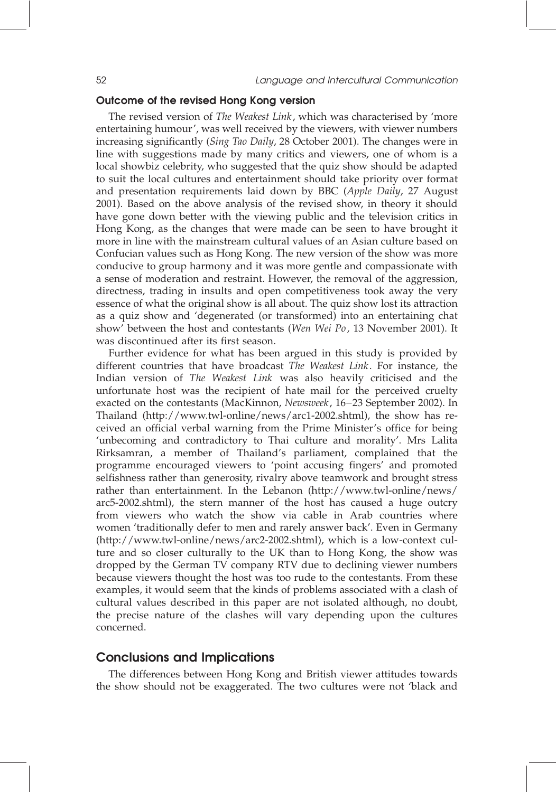#### Outcome of the revised Hong Kong version

The revised version of The Weakest Link, which was characterised by 'more entertaining humour', was well received by the viewers, with viewer numbers increasing significantly (Sing Tao Daily, 28 October 2001). The changes were in line with suggestions made by many critics and viewers, one of whom is a local showbiz celebrity, who suggested that the quiz show should be adapted to suit the local cultures and entertainment should take priority over format and presentation requirements laid down by BBC (Apple Daily, 27 August 2001). Based on the above analysis of the revised show, in theory it should have gone down better with the viewing public and the television critics in Hong Kong, as the changes that were made can be seen to have brought it more in line with the mainstream cultural values of an Asian culture based on Confucian values such as Hong Kong. The new version of the show was more conducive to group harmony and it was more gentle and compassionate with a sense of moderation and restraint. However, the removal of the aggression, directness, trading in insults and open competitiveness took away the very essence of what the original show is all about. The quiz show lost its attraction as a quiz show and 'degenerated (or transformed) into an entertaining chat show' between the host and contestants (Wen Wei Po, 13 November 2001). It was discontinued after its first season.

Further evidence for what has been argued in this study is provided by different countries that have broadcast The Weakest Link. For instance, the Indian version of The Weakest Link was also heavily criticised and the unfortunate host was the recipient of hate mail for the perceived cruelty exacted on the contestants (MacKinnon, Newsweek, 16-23 September 2002). In Thailand (http://www.twl-online/news/arc1-2002.shtml), the show has received an official verbal warning from the Prime Minister's office for being 'unbecoming and contradictory to Thai culture and morality'. Mrs Lalita Rirksamran, a member of Thailand's parliament, complained that the programme encouraged viewers to 'point accusing fingers' and promoted selfishness rather than generosity, rivalry above teamwork and brought stress rather than entertainment. In the Lebanon (http://www.twl-online/news/ arc5-2002.shtml), the stern manner of the host has caused a huge outcry from viewers who watch the show via cable in Arab countries where women 'traditionally defer to men and rarely answer back'. Even in Germany (http://www.twl-online/news/arc2-2002.shtml), which is a low-context culture and so closer culturally to the UK than to Hong Kong, the show was dropped by the German TV company RTV due to declining viewer numbers because viewers thought the host was too rude to the contestants. From these examples, it would seem that the kinds of problems associated with a clash of cultural values described in this paper are not isolated although, no doubt, the precise nature of the clashes will vary depending upon the cultures concerned.

### Conclusions and Implications

The differences between Hong Kong and British viewer attitudes towards the show should not be exaggerated. The two cultures were not 'black and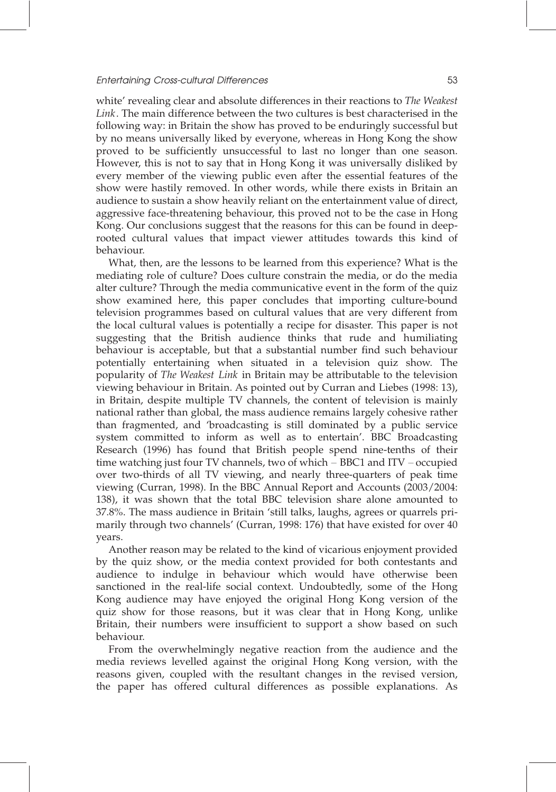white' revealing clear and absolute differences in their reactions to The Weakest Link. The main difference between the two cultures is best characterised in the following way: in Britain the show has proved to be enduringly successful but by no means universally liked by everyone, whereas in Hong Kong the show proved to be sufficiently unsuccessful to last no longer than one season. However, this is not to say that in Hong Kong it was universally disliked by every member of the viewing public even after the essential features of the show were hastily removed. In other words, while there exists in Britain an audience to sustain a show heavily reliant on the entertainment value of direct, aggressive face-threatening behaviour, this proved not to be the case in Hong Kong. Our conclusions suggest that the reasons for this can be found in deeprooted cultural values that impact viewer attitudes towards this kind of behaviour.

What, then, are the lessons to be learned from this experience? What is the mediating role of culture? Does culture constrain the media, or do the media alter culture? Through the media communicative event in the form of the quiz show examined here, this paper concludes that importing culture-bound television programmes based on cultural values that are very different from the local cultural values is potentially a recipe for disaster. This paper is not suggesting that the British audience thinks that rude and humiliating behaviour is acceptable, but that a substantial number find such behaviour potentially entertaining when situated in a television quiz show. The popularity of The Weakest Link in Britain may be attributable to the television viewing behaviour in Britain. As pointed out by Curran and Liebes (1998: 13), in Britain, despite multiple TV channels, the content of television is mainly national rather than global, the mass audience remains largely cohesive rather than fragmented, and 'broadcasting is still dominated by a public service system committed to inform as well as to entertain'. BBC Broadcasting Research (1996) has found that British people spend nine-tenths of their time watching just four TV channels, two of which  $-$  BBC1 and ITV  $-$  occupied over two-thirds of all TV viewing, and nearly three-quarters of peak time viewing (Curran, 1998). In the BBC Annual Report and Accounts (2003/2004: 138), it was shown that the total BBC television share alone amounted to 37.8%. The mass audience in Britain 'still talks, laughs, agrees or quarrels primarily through two channels' (Curran, 1998: 176) that have existed for over 40 years.

Another reason may be related to the kind of vicarious enjoyment provided by the quiz show, or the media context provided for both contestants and audience to indulge in behaviour which would have otherwise been sanctioned in the real-life social context. Undoubtedly, some of the Hong Kong audience may have enjoyed the original Hong Kong version of the quiz show for those reasons, but it was clear that in Hong Kong, unlike Britain, their numbers were insufficient to support a show based on such behaviour.

From the overwhelmingly negative reaction from the audience and the media reviews levelled against the original Hong Kong version, with the reasons given, coupled with the resultant changes in the revised version, the paper has offered cultural differences as possible explanations. As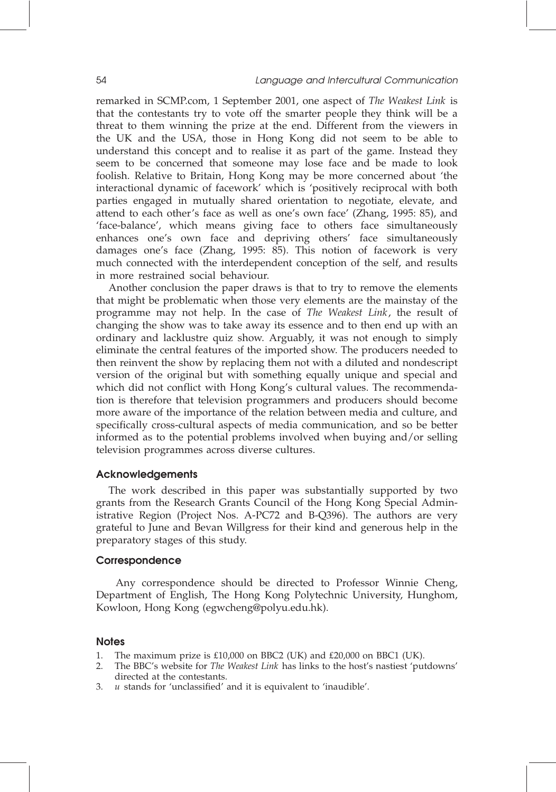remarked in SCMP.com, 1 September 2001, one aspect of The Weakest Link is that the contestants try to vote off the smarter people they think will be a threat to them winning the prize at the end. Different from the viewers in the UK and the USA, those in Hong Kong did not seem to be able to understand this concept and to realise it as part of the game. Instead they seem to be concerned that someone may lose face and be made to look foolish. Relative to Britain, Hong Kong may be more concerned about 'the interactional dynamic of facework' which is 'positively reciprocal with both parties engaged in mutually shared orientation to negotiate, elevate, and attend to each other's face as well as one's own face' (Zhang, 1995: 85), and 'face-balance', which means giving face to others face simultaneously enhances one's own face and depriving others' face simultaneously damages one's face (Zhang, 1995: 85). This notion of facework is very much connected with the interdependent conception of the self, and results in more restrained social behaviour.

Another conclusion the paper draws is that to try to remove the elements that might be problematic when those very elements are the mainstay of the programme may not help. In the case of The Weakest Link, the result of changing the show was to take away its essence and to then end up with an ordinary and lacklustre quiz show. Arguably, it was not enough to simply eliminate the central features of the imported show. The producers needed to then reinvent the show by replacing them not with a diluted and nondescript version of the original but with something equally unique and special and which did not conflict with Hong Kong's cultural values. The recommendation is therefore that television programmers and producers should become more aware of the importance of the relation between media and culture, and specifically cross-cultural aspects of media communication, and so be better informed as to the potential problems involved when buying and/or selling television programmes across diverse cultures.

#### Acknowledgements

The work described in this paper was substantially supported by two grants from the Research Grants Council of the Hong Kong Special Administrative Region (Project Nos. A-PC72 and B-Q396). The authors are very grateful to June and Bevan Willgress for their kind and generous help in the preparatory stages of this study.

#### Correspondence

Any correspondence should be directed to Professor Winnie Cheng, Department of English, The Hong Kong Polytechnic University, Hunghom, Kowloon, Hong Kong (egwcheng@polyu.edu.hk).

#### **Notes**

- 1. The maximum prize is £10,000 on BBC2 (UK) and £20,000 on BBC1 (UK).
- 2. The BBC's website for The Weakest Link has links to the host's nastiest 'putdowns' directed at the contestants.
- 3.  $u$  stands for 'unclassified' and it is equivalent to 'inaudible'.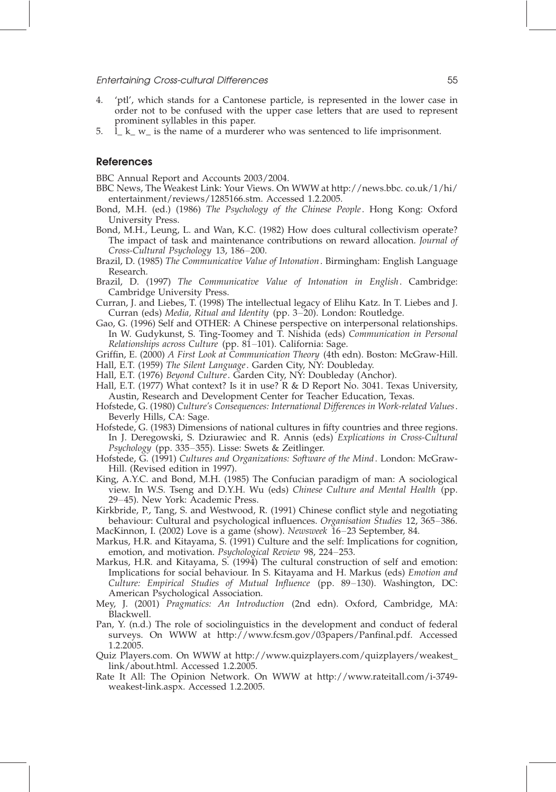- 4. 'ptl', which stands for a Cantonese particle, is represented in the lower case in order not to be confused with the upper case letters that are used to represent prominent syllables in this paper.
- 5.  $\bar{l}$  k<sub>\_</sub> w<sub>\_</sub> is the name of a murderer who was sentenced to life imprisonment.

#### References

BBC Annual Report and Accounts 2003/2004.

- BBC News, The Weakest Link: Your Views. On WWW at http://news.bbc. co.uk/1/hi/ entertainment/reviews/1285166.stm. Accessed 1.2.2005.
- Bond, M.H. (ed.) (1986) The Psychology of the Chinese People. Hong Kong: Oxford University Press.
- Bond, M.H., Leung, L. and Wan, K.C. (1982) How does cultural collectivism operate? The impact of task and maintenance contributions on reward allocation. Journal of Cross-Cultural Psychology 13, 186-200.
- Brazil, D. (1985) The Communicative Value of Intonation. Birmingham: English Language Research.
- Brazil, D. (1997) The Communicative Value of Intonation in English. Cambridge: Cambridge University Press.
- Curran, J. and Liebes, T. (1998) The intellectual legacy of Elihu Katz. In T. Liebes and J. Curran (eds) Media, Ritual and Identity (pp. 3–20). London: Routledge.
- Gao, G. (1996) Self and OTHER: A Chinese perspective on interpersonal relationships. In W. Gudykunst, S. Ting-Toomey and T. Nishida (eds) Communication in Personal Relationships across Culture (pp.  $81-101$ ). California: Sage.
- Griffin, E. (2000) A First Look at Communication Theory (4th edn). Boston: McGraw-Hill. Hall, E.T. (1959) The Silent Language. Garden City, NY: Doubleday.
- Hall, E.T. (1976) Beyond Culture. Garden City, NY: Doubleday (Anchor).
- Hall, E.T. (1977) What context? Is it in use? R & D Report No. 3041. Texas University, Austin, Research and Development Center for Teacher Education, Texas.
- Hofstede, G. (1980) Culture's Consequences: International Differences in Work-related Values. Beverly Hills, CA: Sage.
- Hofstede, G. (1983) Dimensions of national cultures in fifty countries and three regions. In J. Deregowski, S. Dziurawiec and R. Annis (eds) Explications in Cross-Cultural Psychology (pp. 335–355). Lisse: Swets & Zeitlinger.
- Hofstede, G. (1991) Cultures and Organizations: Software of the Mind. London: McGraw-Hill. (Revised edition in 1997).
- King, A.Y.C. and Bond, M.H. (1985) The Confucian paradigm of man: A sociological view. In W.S. Tseng and D.Y.H. Wu (eds) Chinese Culture and Mental Health (pp. 29-45). New York: Academic Press.
- Kirkbride, P., Tang, S. and Westwood, R. (1991) Chinese conflict style and negotiating behaviour: Cultural and psychological influences. Organisation Studies 12, 365-386.
- MacKinnon, I. (2002) Love is a game (show). Newsweek 16-23 September, 84.
- Markus, H.R. and Kitayama, S. (1991) Culture and the self: Implications for cognition, emotion, and motivation. Psychological Review 98, 224-253.
- Markus, H.R. and Kitayama, S. (1994) The cultural construction of self and emotion: Implications for social behaviour. In S. Kitayama and H. Markus (eds) Emotion and Culture: Empirical Studies of Mutual Influence (pp. 89–130). Washington, DC: American Psychological Association.
- Mey, J. (2001) Pragmatics: An Introduction (2nd edn). Oxford, Cambridge, MA: Blackwell.
- Pan, Y. (n.d.) The role of sociolinguistics in the development and conduct of federal surveys. On WWW at http://www.fcsm.gov/03papers/Panfinal.pdf. Accessed 1.2.2005.
- Quiz Players.com. On WWW at http://www.quizplayers.com/quizplayers/weakest\_ link/about.html. Accessed 1.2.2005.
- Rate It All: The Opinion Network. On WWW at http://www.rateitall.com/i-3749 weakest-link.aspx. Accessed 1.2.2005.